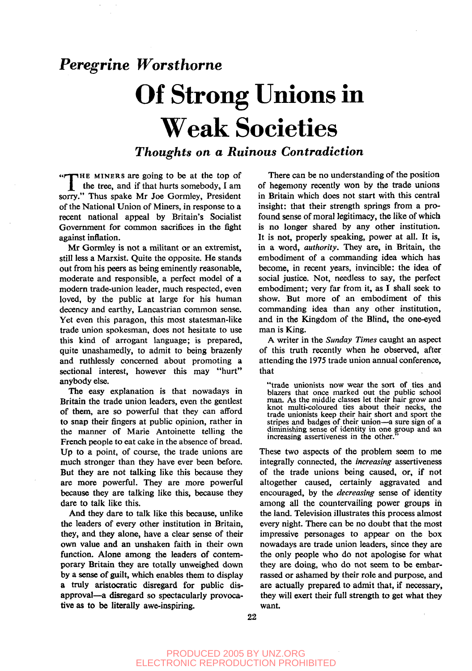## *Peregrine Worsthorne*

## Of Strong Unions in Weak Societies

## *Thoughts on a Ruinous Contradiction*

«nnHE MINERS are going to be at the top of *\\_* the tree, and if that hurts somebody, I am sorry." Thus spake Mr Joe Gormley, President of the National Union of Miners, in response to a recent national appeal by Britain's Socialist Government for common sacrifices in the fight against inflation.

Mr Gormley is not a militant or an extremist, still less a Marxist. Quite the opposite. He stands out from his peers as being eminently reasonable, moderate and responsible, a perfect model of a modern trade-union leader, much respected, even loved, by the public at large for his human decency and earthy, Lancastrian common sense. Yet even this paragon, this most statesman-like trade union spokesman, does not hesitate to use this kind of arrogant language; is prepared, quite unashamedly, to admit to being brazenly and ruthlessly concerned about promoting a sectional interest, however this may "hurt" anybody else.

The easy explanation is that nowadays in Britain the trade union leaders, even the gentlest of them, are so powerful that they can afford to snap their fingers at public opinion, rather in the manner of Marie Antoinette telling the French people to eat cake in the absence of bread. Up to a point, of course, the trade unions are much stronger than they have ever been before. But they are not talking like this because they are more powerful. They are more powerful because they are talking like this, because they dare to talk like this.

And they dare to talk like this because, unlike the leaders of every other institution in Britain, they, and they alone, have a clear sense of their own value and an unshaken faith in their own function. Alone among the leaders of contemporary Britain they are totally unweighed down by a sense of guilt, which enables them to display a truly aristocratic disregard for public disapproval—a disregard so spectacularly provocative as to be literally awe-inspiring.

There can be no understanding of the position of hegemony recently won by the trade unions in Britain which does not start with this central insight: that their strength springs from a profound sense of moral legitimacy, the like of which is no longer shared by any other institution. It is not, properly speaking, power at all. It is, in a word, *authority.* They are, in Britain, the embodiment of a commanding idea which has become, in recent years, invincible: the idea of social justice. Not, needless to say, the perfect embodiment; very far from it, as I shall seek to show. But more of an embodiment of this commanding idea than any other institution, and in the Kingdom of the Blind, the one-eyed man is King.

A writer in the *Sunday Times* caught an aspect of this truth recently when he observed, after attending the 1975 trade union annual conference, that

"trade unionists now wear the sort of ties and blazers that once marked out the public school man. As the middle classes let their hair grow and knot multi-coloured ties about their necks, the trade unionists keep their hair short and sport the stripes and badges of their union—a sure sign of a diminishing sense of identity in one group and an increasing assertiveness in the other.

These two aspects of the problem seem to me integrally connected, the *increasing* assertiveness of the trade unions being caused, or, if not altogether caused, certainly aggravated and encouraged, by the *decreasing* sense of identity among all the countervailing power groups in the land. Television illustrates this process almost every night. There can be no doubt that the most impressive personages to appear on the box nowadays are trade union leaders, since they are the only people who do not apologise for what they are doing, who do not seem to be embarrassed or ashamed by their role and purpose, and are actually prepared to admit that, if necessary, they will exert their full strength to get what they want.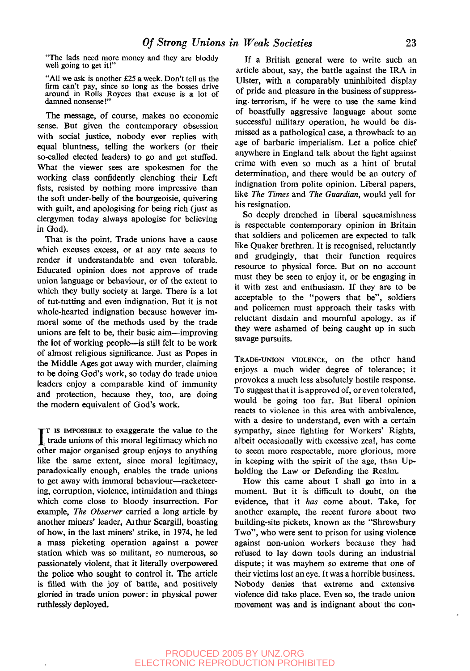"The lads need more money and they are bloddy well going to get it!"

"All we ask is another £25 a week. Don't tell us the firm can't pay, since so long as the bosses drive around in Rolls Royces that excuse is a lot of damned nonsense!"

The message, of course, makes no economic sense. But given the contemporary obsession with social justice, nobody ever replies with equal bluntness, telling the workers (or their so-called elected leaders) to go and get stuffed. What the viewer sees are spokesmen for the working class confidently clenching their Left fists, resisted by nothing more impressive than the soft under-belly of the bourgeoisie, quivering with guilt, and apologising for being rich (just as clergymen today always apologise for believing in God).

That is the point. Trade unions have a cause which excuses excess, or at any rate seems to render it understandable and even tolerable. Educated opinion does not approve of trade union language or behaviour, or of the extent to which they bully society at large. There is a lot of tut-tutting and even indignation. But it is not whole-hearted indignation because however immoral some of the methods used by the trade unions are felt to be, their basic aim—improving the lot of working people—is still felt to be work of almost religious significance. Just as Popes in the Middle Ages got away with murder, claiming to be doing God's work, so today do trade union leaders enjoy a comparable kind of immunity and protection, because they, too, are doing the modern equivalent of God's work.

 $\prod$ <sup>T</sup> IS IMPOSSIBLE to exaggerate the value to the trade unions of this moral legitimacy which no other major organised group enjoys to anything T is IMPOSSIBLE to exaggerate the value to the other major organised group enjoys to anything like the same extent, since moral legitimacy, paradoxically enough, enables the trade unions to get away with immoral behaviour—racketeering, corruption, violence, intimidation and things which come close to bloody insurrection. For example, *The Observer* carried a long article by another miners' leader, Aithur Scargill, boasting of how, in the last miners' strike, in 1974, he led a mass picketing operation against a power station which was so militant, so numerous, so passionately violent, that it literally overpowered the police who sought to control it. The article is filled with the joy of battle, and positively gloried in trade union power: in physical power ruthlessly deployed.

If a British general were to write such an article about, say, the battle against the IRA in Ulster, with a comparably uninhibited display of pride and pleasure in the business of suppressing- terrorism, if he were to use the same kind of boastfully aggressive language about some successful military operation, he would be dismissed as a pathological case, a throwback to an age of barbaric imperialism. Let a police chief anywhere in England talk about the fight against crime with even so much as a hint of brutal determination, and there would be an outcry of indignation from polite opinion. Liberal papers, like *The Times* and *The Guardian,* would yell for his resignation.

So deeply drenched in liberal squeamishness is respectable contemporary opinion in Britain that soldiers and policemen are expected to talk like Quaker brethren. It is recognised, reluctantly and grudgingly, that their function requires resource to physical force. But on no account must they be seen to enjoy it, or be engaging in it with zest and enthusiasm. If they are to be acceptable to the "powers that be", soldiers and policemen must approach their tasks with reluctant disdain and mournful apology, as if they were ashamed of being caught up in such savage pursuits.

TRADE-UNION VIOLENCE, on the other hand enjoys a much wider degree of tolerance; it provokes a much less absolutely hostile response. To suggest that it is approved of, or even tolerated, would be going too far. But liberal opinion reacts to violence in this area with ambivalence, with a desire to understand, even with a certain sympathy, since fighting for Workers' Rights, albeit occasionally with excessive zeal, has come to seem more respectable, more glorious, more in keeping with the spirit of the age, than Upholding the Law or Defending the Realm.

How this came about I shall go into in a moment. But it is difficult to doubt, on the evidence, that it *has* come about. Take, for another example, the recent furore about two building-site pickets, known as the "Shrewsbury Two", who were sent to prison for using violence against non-union workers because they had refused to lay down tools during an industrial dispute; it was mayhem so extreme that one of their victims lost an eye. It was a horrible business. Nobody denies that extreme and extensive violence did take place. Even so, the trade union movement was and is indignant about the con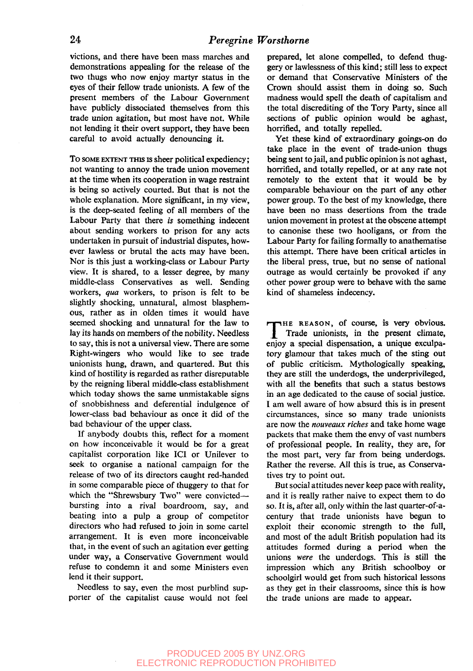victions, and there have been mass marches and demonstrations appealing for the release of the two thugs who now enjoy martyr status in the eyes of their fellow trade unionists. A few of the present members of the Labour Government have publicly dissociated themselves from this trade union agitation, but most have not. While not lending it their overt support, they have been careful to avoid actually denouncing it.

To SOME EXTENT THIS is sheer political expediency; not wanting to annoy the trade union movement at the time when its cooperation in wage restraint is being so actively courted. But that is not the whole explanation. More significant, in my view, is the deep-seated feeling of all members of the Labour Party that there *is* something indecent about sending workers to prison for any acts undertaken in pursuit of industrial disputes, however lawless or brutal the acts may have been. Nor is this just a working-class or Labour Party view. It is shared, to a lesser degree, by many middle-class Conservatives as well. Sending workers, *qua* workers, to prison is felt to be slightly shocking, unnatural, almost blasphemous, rather as in olden times it would have seemed shocking and unnatural for the law to lay its hands on members of the nobility. Needless to say, this is not a universal view. There are some Right-wingers who would like to see trade unionists hung, drawn, and quartered. But this kind of hostility is regarded as rather disreputable by the reigning liberal middle-class establishment which today shows the same unmistakable signs of snobbishness and deferential indulgence of lower-class bad behaviour as once it did of the bad behaviour of the upper class.

If anybody doubts this, reflect for a moment on how inconceivable it would be for a great capitalist corporation like ICI or Unilever to seek to organise a national campaign for the release of two of its directors caught red-handed in some comparable piece of thuggery to that for which the "Shrewsbury Two" were convicted bursting into a rival boardroom, say, and beating into a pulp a group of competitor directors who had refused to join in some cartel arrangement. It is even more inconceivable that, in the event of such an agitation ever getting under way, a Conservative Government would refuse to condemn it and some Ministers even lend it their support.

Needless to say, even the most purblind supporter of the capitalist cause would not feel prepared, let alone compelled, to defend thuggery or lawlessness of this kind; still less to expect or demand that Conservative Ministers of the Crown should assist them in doing so. Such madness would spell the death of capitalism and the total discrediting of the Tory Party, since all sections of public opinion would be aghast, horrified, and totally repelled.

Yet these kind of extraordinary goings-on do take place in the event of trade-union thugs being sent to jail, and public opinion is not aghast, horrified, and totally repelled, or at any rate not remotely to the extent that it would be by comparable behaviour on the part of any other power group. To the best of my knowledge, there have been no mass desertions from the trade union movement in protest at the obscene attempt to canonise these two hooligans, or from the Labour Party for failing formally to anathematise this attempt. There have been critical articles in the liberal press, true, but no sense of national outrage as would certainly be provoked if any other power group were to behave with the same kind of shameless indecency.

THE REASON, of course, is very obvious.<br>Trade unionists, in the present climate,<br>enjoy a special dispensation a unique exculpa-Trade unionists, in the present climate, enjoy a special dispensation, a unique exculpatory glamour that takes much of the sting out of public criticism. Mythologically speaking, they are still the underdogs, the underprivileged, with all the benefits that such a status bestows in an age dedicated to the cause of social justice. I am well aware of how absurd this is in present circumstances, since so many trade unionists are now the *nouveaux riches* and take home wage packets that make them the envy of vast numbers of professional people. In reality, they are, for the most part, very far from being underdogs. Rather the reverse. All this is true, as Conservatives try to point out.

But social attitudes never keep pace with reality, and it is really rather naive to expect them to do so. It is, after all, only within the last quarter-of-acentury that trade unionists have begun to exploit their economic strength to the full, and most of the adult British population had its attitudes formed during a period when the unions *were* the underdogs. This is still the impression which any British schoolboy or schoolgirl would get from such historical lessons as they get in their classrooms, since this is how the trade unions are made to appear.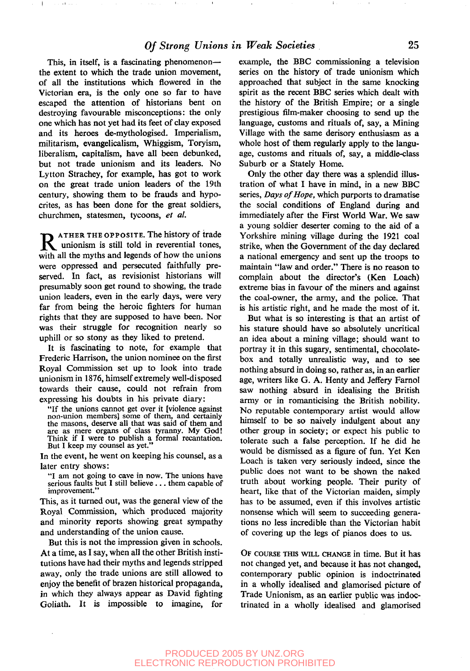This, in itself, is a fascinating phenomenon the extent to which the trade union movement, of all the institutions which flowered in the Victorian era, is the only one so far to have escaped the attention of historians bent on destroying favourable misconceptions: the only one which has not yet had its feet of clay exposed and its heroes de-mythologised. Imperialism, militarism, evangelicalism, Whiggism, Toryism, liberalism, capitalism, have all been debunked, but not trade unionism and its leaders. No Lytton Strachey, for example, has got to work on the great trade union leaders of the 19th century, showing them to be frauds and hypocrites, as has been done for the great soldiers, churchmen, statesmen, tycoons, *et al.*

 $\overline{1}$ 

 $\sim$  14

**R** ATHER THE OPPOSITE. The history of trade<br>unionism is still told in reverential tones,<br>with all the myths and legends of how the unions ATHER THE OPPOSITE. The history of trade with all the myths and legends of how the unions were oppressed and persecuted faithfully preserved. In fact, as revisionist historians will presumably soon get round to showing, the trade union leaders, even in the early days, were very far from being the heroic fighters for human rights that they are supposed to have been. Nor was their struggle for recognition nearly so uphill or so stony as they liked to pretend.

It is fascinating to note, for example that Frederic Harrison, the union nominee on the first Royal Commission set up to look into trade unionism in 1876, himself extremely well-disposed towards their cause, could not refrain from expressing his doubts in his private diary:

"If the unions cannot get over it [violence against non-union members] some of them, and certainly the masons, deserve all that was said of them and are as mere organs of class tyranny. My God! Think if I were to publish a formal recantation. But I keep my counsel as yet."

In the event, he went on keeping his counsel, as a later entry shows:

"I am not going to cave in now. The unions have serious faults but I still believe .. . them capable of improvement."

This, as it turned out, was the general view of the Royal Commission, which produced majority and minority reports showing great sympathy and understanding of the union cause.

But this is not the impression given in schools. At a time, as I say, when all the other British institutions have had their myths and legends stripped away, only the trade unions are still allowed to enjoy the benefit of brazen historical propaganda, in which they always appear as David fighting Goliath. It is impossible to imagine, for

example, the BBC commissioning a television series on the history of trade unionism which approached that subject in the same knocking spirit as the recent BBC series which dealt with the history of the British Empire; or a single prestigious film-maker choosing to send up the language, customs and rituals of, say, a Mining Village with the same derisory enthusiasm as a whole host of them regularly apply to the language, customs and rituals of, say, a middle-class Suburb or a Stately Home.

Only the other day there was a splendid illustration of what I have in mind, in a new BBC series, *Days of Hope,* which purports to dramatise the social conditions of England during and immediately after the First World War. We saw a young soldier deserter coming to the aid of a Yorkshire mining village during the 1921 coal strike, when the Government of the day declared a national emergency and sent up the troops to maintain "law and order." There is no reason to complain about the director's (Ken Loach) extreme bias in favour of the miners and against the coal-owner, the army, and the police. That is his artistic right, and he made the most of it.

But what is so interesting is that an artist of his stature should have so absolutely uncritical an idea about a mining village; should want to portray it in this sugary, sentimental, chocolatebox and totally unrealistic way, and to see nothing absurd in doing so, rather as, in an earlier age, writers like G. A. Henty and Jeffery Farnol saw nothing absurd in idealising the British army or in romanticising the British nobility. No reputable contemporary artist would allow himself to be so naively indulgent about any other group in society; or expect his public to tolerate such a false perception. If he did he would be dismissed as a figure of fun. Yet Ken Loach is taken very seriously indeed, since the public does not want to be shown the naked truth about working people. Their purity of heart, like that of the Victorian maiden, simply has to be assumed, even if this involves artistic nonsense which will seem to succeeding generations no less incredible than the Victorian habit of covering up the legs of pianos does to us.

OF COURSE THIS WILL CHANGE in time. But it has not changed yet, and because it has not changed, contemporary public opinion is indoctrinated in a wholly idealised and glamorised picture of Trade Unionism, as an earlier public was indoctrinated in a wholly idealised and glamorised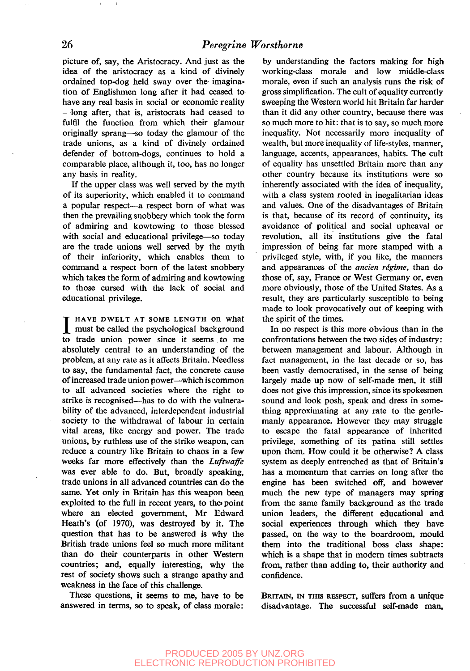picture of, say, the Aristocracy. And just as the idea of the aristocracy as a kind of divinely ordained top-dog held sway over the imagination of Englishmen long after it had ceased to have any real basis in social or economic reality —long after, that is, aristocrats had ceased to fulfil the function from which their glamour originally sprang—so today the glamour of the trade unions, as a kind of divinely ordained defender of bottom-dogs, continues to hold a comparable place, although it, too, has no longer any basis in reality.

If the upper class was well served by the myth of its superiority, which enabled it to command a popular respect—a respect born of what was then the prevailing snobbery which took the form of admiring and kowtowing to those blessed with social and educational privilege—so today are the trade unions well served by the myth of their inferiority, which enables them to command a respect born of the latest snobbery which takes the form of admiring and kowtowing to those cursed with the lack of social and educational privilege.

**I** HAVE DWELT AT SOME LENGTH ON What<br>
must be called the psychological background<br>
to trade union power since it seems to me **HAVE DWELT AT SOME LENGTH On What** must be called the psychological background absolutely central to an understanding of the problem, at any rate as it affects Britain. Needless to say, the fundamental fact, the concrete cause of increased trade union power—which iscommon to all advanced societies where the right to strike is recognised—has to do with the vulnerability of the advanced, interdependent industrial society to the withdrawal of labour in certain vital areas, like energy and power. The trade unions, by ruthless use of the strike weapon, can reduce a country like Britain to chaos in a few weeks far more effectively than the *Luftwaffe* was ever able to do. But, broadly speaking, trade unions in all advanced countries can do the same. Yet only in Britain has this weapon been exploited to the full in recent years, to the point where an elected government, Mr Edward Heath's (of 1970), was destroyed by it. The question that has to be answered is why the British trade unions feel so much more militant than do their counterparts in other Western countries; and, equally interesting, why the rest of society shows such a strange apathy and weakness in the face of this challenge.

These questions, it seems to me, have to be answered in terms, so to speak, of class morale:

by understanding the factors making for high working-class morale and low middle-class morale, even if such an analysis runs the risk of gross simplification. The cult of equality currently sweeping the Western world hit Britain far harder than it did any other country, because there was so much more to hit: that is to say, so much more inequality. Not necessarily more inequality of wealth, but more inequality of life-styles, manner, language, accents, appearances, habits. The cult of equality has unsettled Britain more than any other country because its institutions were so inherently associated with the idea of inequality, with a class system rooted in inegalitarian ideas and values. One of the disadvantages of Britain is that, because of its record of continuity, its avoidance of political and social upheaval or revolution, all its institutions give the fatal impression of being far more stamped with a privileged style, with, if you like, the manners and appearances of the *ancien regime,* than do those of, say, France or West Germany or, even more obviously, those of the United States. As a result, they are particularly susceptible to being made to look provocatively out of keeping with the spirit of the times.

In no respect is this more obvious than in the confrontations between the two sides of industry: between management and labour. Although in fact management, in the last decade or so, has been vastly democratised, in the sense of being largely made up now of self-made men, it still does not give this impression, since its spokesmen sound and look posh, speak and dress in something approximating at any rate to the gentlemanly appearance. However they may struggle to escape the fatal appearance of inherited privilege, something of its patina still settles upon them. How could it be otherwise? A class system as deeply entrenched as that of Britain's has a momentum that carries on long after the engine has been switched off, and however much the new type of managers may spring from the same family background as the trade union leaders, the different educational and social experiences through which they have passed, on the way to the boardroom, mould them into the traditional boss class shape: which is a shape that in modern times subtracts from, rather than adding to, their authority and confidence.

BRITAIN, IN THIS RESPECT, suffers from a unique disadvantage. The successful self-made man,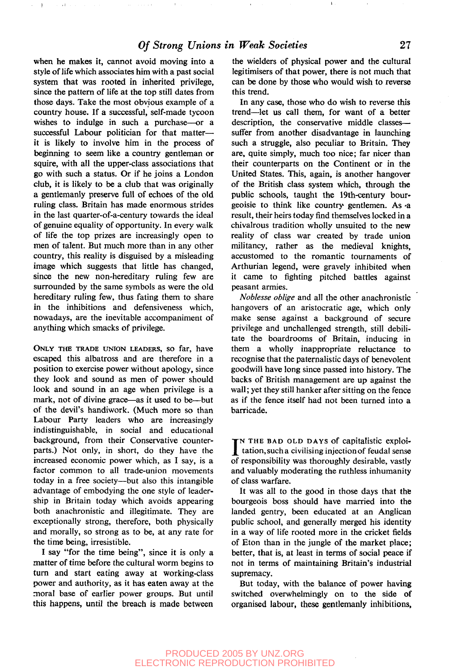when he makes it, cannot avoid moving into a style of life which associates him with a past social system that was rooted in inherited privilege, since the pattern of life at the top still dates from those days. Take the most obvious example of a country house. If a successful, self-made tycoon wishes to indulge in such a purchase—or a successful Labour politician for that matter it is likely to involve him in the process of beginning to seem like a country gentleman or squire, with all the upper-class associations that go with such a status. Or if he joins a London club, it is likely to be a club that was originally a gentlemanly preserve full of echoes of the old ruling class. Britain has made enormous strides in the last quarter-of-a-century towards the ideal of genuine equality of opportunity. In every walk of life the top prizes are increasingly open to men of talent. But much more than in any other country, this reality is disguised by a misleading image which suggests that little has changed, since the new non-hereditary ruling few are surrounded by the same symbols as were the old hereditary ruling few, thus fating them to share in the inhibitions and defensiveness which, nowadays, are the inevitable accompaniment of anything which smacks of privilege.

 $\sim$   $\sim$   $\sim$ 

 $\sim 14$ 

ONLY THE TRADE UNION LEADERS, SO far, have escaped this albatross and are therefore in a position to exercise power without apology, since they look and sound as men of power should look and sound in an age when privilege is a mark, not of divine grace—as it used to be—but of the devil's handiwork. (Much more so than Labour Party leaders who are increasingly indistinguishable, in social and educational background, from their Conservative counterparts.) Not only, in short, do they have the increased economic power which, as I say, is a factor common to all trade-union movements today in a free society—but also this intangible advantage of embodying the one style of leadership in Britain today which avoids appearing both anachronistic and illegitimate. They are exceptionally strong, therefore, both physically and morally, so strong as to be, at any rate for the time being, irresistible.

I say "for the time being", since it is only a matter of time before the cultural worm begins to turn and start eating away at working-class power and authority, as it has eaten away at the moral base of earlier power groups. But until this happens, until the breach is made between

the wielders of physical power and the cultural legitimisers of that power, there is not much that can be done by those who would wish to reverse this trend.

In any case, those who do wish to reverse this trend—let us call them, for want of a better description, the conservative middle classes suffer from another disadvantage in launching such a struggle, also peculiar to Britain. They are, quite simply, much too nice; far nicer than their counterparts on the Continent or in the United States. This, again, is another hangover of the British class system which, through the public schools, taught the 19th-century bourgeoisie to think like country gentlemen. As -a result, their heirs today find themselves locked in a chivalrous tradition wholly unsuited to the new reality of class war created by trade union militancy, rather as the medieval knights, accustomed to the romantic tournaments of Arthurian legend, were gravely inhibited when it came to fighting pitched battles against peasant armies.

*Noblesse oblige* and all the other anachronistic hangovers of an aristocratic age, which only make sense against a background of secure privilege and unchallenged strength, still debilitate the boardrooms of Britain, inducing in them a wholly inappropriate reluctance to recognise that the paternalistic days of benevolent goodwill have long since passed into history. The backs of British management are up against the wall; yet they still hanker after sitting on the fence as if the fence itself had not been turned into a barricade.

IN THE BAD OLD DAYS of capitalistic exploitation, such a civilising injection of feudal sense<br>of repropribility was thoroughly desirable youtly N THE BAD OLD DAYS of capitalistic exploiof responsibility was thoroughly desirable, vastly and valuably moderating the ruthless inhumanity of class warfare.

It was all to the good in those days that the bourgeois boss should have married into the landed gentry, been educated at an Anglican public school, and generally merged his identity in a way of life rooted more in the cricket fields of Eton than in the jungle of the market place; better, that is, at least in terms of social peace if not in terms of maintaining Britain's industrial supremacy.

But today, with the balance of power having switched overwhelmingly on to the side of organised labour, these gentlemanly inhibitions,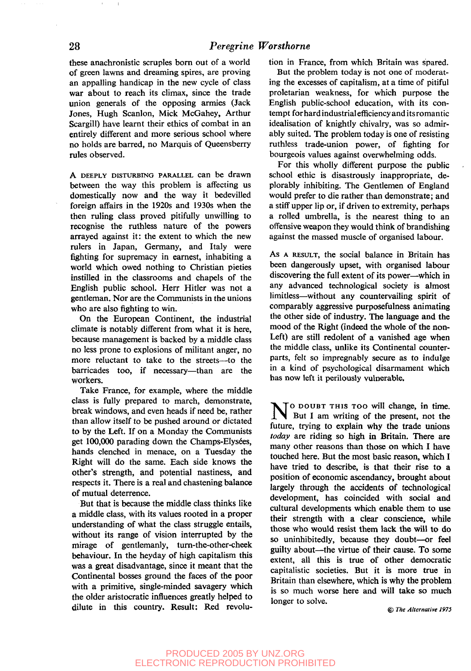these anachronistic scruples born out of a world of green lawns and dreaming spires, are proving an appalling handicap in the new cycle of class war about to reach its climax, since the trade union generals of the opposing armies (Jack Jones, Hugh Scanlon, Mick McGahey, Arthur Scargill) have learnt their ethics of combat in an entirely different and more serious school where no holds are barred, no Marquis of Queensberry rules observed.

A DEEPLY DISTURBING PARALLEL can be drawn between the way this problem is affecting us domestically now and the way it bedevilled foreign affairs in the 1920s and 1930s when the then ruling class proved pitifully unwilling to recognise the ruthless nature of the powers arrayed against it: the extent to which the new rulers in Japan, Germany, and Italy were fighting for supremacy in earnest, inhabiting a world which owed nothing to Christian pieties instilled in the classrooms and chapels of the English public school. Herr Hitler was not a gentleman. Nor are the Communists in the unions who are also fighting to win.

On the European Continent, the industrial climate is notably different from what it is here, because management is backed by a middle class no less prone to explosions of militant anger, no more reluctant to take to the streets—to the barricades too, if necessary—than are the workers.

Take France, for example, where the middle class is fully prepared to march, demonstrate, break windows, and even heads if need be, rather than allow itself to be pushed around or dictated to by the Left. If on a Monday the Communists get 100,000 parading down the Champs-Elysées, hands clenched in menace, on a Tuesday the Right will do the same. Each side knows the other's strength, and potential nastiness, and respects it. There is a real and chastening balance of mutual deterrence.

But that is because the middle class thinks like a middle class, with its values rooted in a proper understanding of what the class struggle entails, without its range of vision interrupted by the mirage of gentlemanly, turn-the-other-cheek behaviour. In the heyday of high capitalism this was a great disadvantage, since it meant that the Continental bosses ground the faces of the poor with a primitive, single-minded savagery which the older aristocratic influences greatly helped to dilute in this country. Result: Red revolution in France, from which Britain was spared.

But the problem today is not one of moderating the excesses of capitalism, at a time of pitiful proletarian weakness, for which purpose the English public-school education, with its contempt for hard industrial efficiency and its romantic idealisation of knightly chivalry, was so admirably suited. The problem today is one of resisting ruthless trade-union power, of fighting for bourgeois values against overwhelming odds.

For this wholly different purpose the public school ethic is disastrously inappropriate, deplorably inhibiting. The Gentlemen of England would prefer to die rather than demonstrate; and a stiff upper lip or, if driven to extremity, perhaps a rolled umbrella, is the nearest thing to an offensive weapon they would think of brandishing against the massed muscle of organised labour.

As A RESULT, the social balance in Britain has been dangerously upset, with organised labour discovering the full extent of its power—which in any advanced technological society is almost limitless—without any countervailing spirit of comparably aggressive purposefulness animating the other side of industry. The language and the mood of the Right (indeed the whole of the non-Left) are still redolent of a vanished age when the middle class, unlike its Continental counterparts, felt so impregnably secure as to indulge in a kind of psychological disarmament which has now left it perilously vulnerable.

N<sup>O DOUBT</sup> THIS TOO will change, in time. But I am writing of the present, not the future, trying to explain why the trade unions *today* are riding so high in Britain. There are many other reasons than those on which I have touched here. But the most basic reason, which I have tried to describe, is that their rise to a position of economic ascendancy, brought about largely through the accidents of technological development, has coincided with social and cultural developments which enable them to use their strength with a clear conscience, while those who would resist them lack the will to do so uninhibitedly, because they doubt—or feel guilty about—the virtue of their cause. To some extent, all this is true of other democratic capitalistic societies. But it is more true in Britain than elsewhere, which is why the problem is so much worse here and will take so much longer to solve.